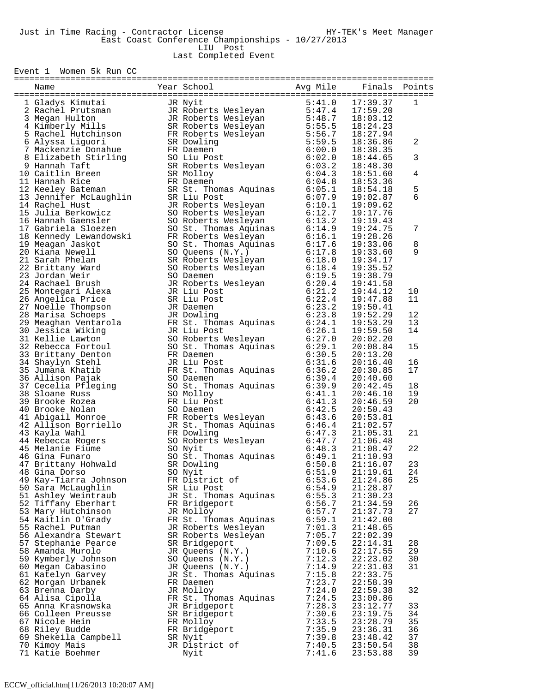East Coast Conference Championships - 10/27/2013 LIU Post

Last Completed Event

Event 1 Women 5k Run CC

| Name                                                                                                                                                                                                                                         | Year School                                                                                                                                                                                                                    | Avg Mile | Finals   | Points |
|----------------------------------------------------------------------------------------------------------------------------------------------------------------------------------------------------------------------------------------------|--------------------------------------------------------------------------------------------------------------------------------------------------------------------------------------------------------------------------------|----------|----------|--------|
| 1 Gladys Kinutiai Slovenski (Balaceus II (Rays Kinutian II Roberts Wesleyan<br>1 Gladys Kinutsmann JR Roberts Wesleyan<br>1 JR Roberts Wesleyan<br>1 JR Roberts Wesleyan<br>5 Kachel Hutchinson BR Roberts Wesleyan<br>6 Alyssa Liguori      |                                                                                                                                                                                                                                |          |          |        |
|                                                                                                                                                                                                                                              |                                                                                                                                                                                                                                | 5:41.0   | 17:39.37 | 1      |
|                                                                                                                                                                                                                                              |                                                                                                                                                                                                                                | 5:47.4   | 17:59.20 |        |
|                                                                                                                                                                                                                                              |                                                                                                                                                                                                                                | 5:48.7   | 18:03.12 |        |
|                                                                                                                                                                                                                                              |                                                                                                                                                                                                                                | 5:55.5   | 18:24.23 |        |
|                                                                                                                                                                                                                                              |                                                                                                                                                                                                                                | 5:56.7   | 18:27.94 |        |
|                                                                                                                                                                                                                                              |                                                                                                                                                                                                                                | 5:59.5   | 18:36.86 | 2      |
|                                                                                                                                                                                                                                              |                                                                                                                                                                                                                                | 6:00.0   | 18:38.35 |        |
|                                                                                                                                                                                                                                              |                                                                                                                                                                                                                                | 6:02.0   | 18:44.65 | 3      |
|                                                                                                                                                                                                                                              |                                                                                                                                                                                                                                | 6:03.2   | 18:48.30 |        |
|                                                                                                                                                                                                                                              |                                                                                                                                                                                                                                | 6:04.3   | 18:51.60 | 4      |
|                                                                                                                                                                                                                                              |                                                                                                                                                                                                                                | 6:04.8   | 18:53.36 |        |
|                                                                                                                                                                                                                                              |                                                                                                                                                                                                                                | 6:05.1   | 18:54.18 | 5      |
|                                                                                                                                                                                                                                              |                                                                                                                                                                                                                                | 6:07.9   | 19:02.87 | 6      |
|                                                                                                                                                                                                                                              |                                                                                                                                                                                                                                |          | 19:09.62 |        |
|                                                                                                                                                                                                                                              | SR Liu Post<br>JR Roberts Wesleyan 6:10.1<br>SO Roberts Wesleyan 6:12.7<br>SO Roberts Wesleyan 6:12.7<br>SO St. Thomas Aquinas 6:14.9<br>FR Roberts Wesleyan 6:16.1<br>SO St. Thomas Aquinas 6:17.6<br>SO Queens (N.Y.) 6:17.8 |          | 19:17.76 |        |
|                                                                                                                                                                                                                                              |                                                                                                                                                                                                                                |          | 19:19.43 |        |
|                                                                                                                                                                                                                                              |                                                                                                                                                                                                                                |          | 19:24.75 | 7      |
|                                                                                                                                                                                                                                              |                                                                                                                                                                                                                                |          | 19:28.26 |        |
|                                                                                                                                                                                                                                              |                                                                                                                                                                                                                                |          |          |        |
|                                                                                                                                                                                                                                              |                                                                                                                                                                                                                                |          | 19:33.06 | 8      |
|                                                                                                                                                                                                                                              |                                                                                                                                                                                                                                |          | 19:33.60 | 9      |
| 21 Sarah Phelan                                                                                                                                                                                                                              |                                                                                                                                                                                                                                | 6:18.0   | 19:34.17 |        |
| 22 Brittany Ward                                                                                                                                                                                                                             |                                                                                                                                                                                                                                | 6:18.4   | 19:35.52 |        |
| 23 Jordan Weir                                                                                                                                                                                                                               |                                                                                                                                                                                                                                | 6:19.5   | 19:38.79 |        |
|                                                                                                                                                                                                                                              |                                                                                                                                                                                                                                | 6:20.4   | 19:41.58 |        |
|                                                                                                                                                                                                                                              |                                                                                                                                                                                                                                | 6:21.2   | 19:44.12 | 10     |
|                                                                                                                                                                                                                                              |                                                                                                                                                                                                                                | 6:22.4   | 19:47.88 | 11     |
|                                                                                                                                                                                                                                              |                                                                                                                                                                                                                                | 6:23.2   | 19:50.41 |        |
|                                                                                                                                                                                                                                              |                                                                                                                                                                                                                                | 6:23.8   | 19:52.29 | 12     |
|                                                                                                                                                                                                                                              |                                                                                                                                                                                                                                | 6:24.1   | 19:53.29 | 13     |
| 3 Jordan<br>4 Rachael Brusn<br>15 Montegari Alexa<br>26 Angelica Price<br>27 Noelle Thompson<br>28 Marisa Schoeps<br>29 Meaghan Ventarola<br>30 Jessica Wiking<br>30 Jessica Wiking<br>30 Jessica Wiking<br>30 Jessica Wiking                | SO Queens (N.Y.)<br>SR Roberts Wesleyan<br>SO Daemen<br>SO Daemen<br>JR Roberts Wesleyan<br>JR Liu Post<br>SR Liu Post<br>JR Daemen<br>JR Dowling<br>FR St. Thomas Aquinas<br>JR Liu Post<br>JR Liu Post                       | 6:26.1   | 19:59.50 | 14     |
|                                                                                                                                                                                                                                              | JR Liu Post<br>SO Roberts Wesleyan<br>SO St. Thomas Aquinas<br>FR Daemen<br>JR Liu Post<br>FR St. Thomas Aquinas<br>CO Daemen                                                                                                  | 6:27.0   | 20:02.20 |        |
|                                                                                                                                                                                                                                              |                                                                                                                                                                                                                                | 6:29.1   | 20:08.84 | 15     |
| 33 Brittany Denton                                                                                                                                                                                                                           |                                                                                                                                                                                                                                | 6:30.5   | 20:13.20 |        |
| 33 Brittany Denton<br>34 Shaylyn Stehl<br>35 Jumana Khatib ISR St. Thomas Aquinas<br>36 Allison Pajak ISR SO Daemen<br>37 Cecelia Pfleging ISR SO Daemen<br>38 Sloane Russ ISR SO Molloy<br>39 Brooke Rozea ISR II Post<br>40 Brooke Nolan I |                                                                                                                                                                                                                                | 6:31.6   | 20:16.40 | 16     |
|                                                                                                                                                                                                                                              |                                                                                                                                                                                                                                | 6:36.2   | 20:30.85 | 17     |
|                                                                                                                                                                                                                                              |                                                                                                                                                                                                                                | 6:39.4   | 20:40.60 |        |
|                                                                                                                                                                                                                                              |                                                                                                                                                                                                                                | 6:39.9   | 20:42.45 | 18     |
|                                                                                                                                                                                                                                              |                                                                                                                                                                                                                                | 6:41.1   | 20:46.10 | 19     |
|                                                                                                                                                                                                                                              |                                                                                                                                                                                                                                | 6:41.3   |          | 20     |
|                                                                                                                                                                                                                                              |                                                                                                                                                                                                                                |          | 20:46.59 |        |
|                                                                                                                                                                                                                                              |                                                                                                                                                                                                                                | 6:42.5   | 20:50.43 |        |
|                                                                                                                                                                                                                                              |                                                                                                                                                                                                                                | 6:43.6   | 20:53.81 |        |
|                                                                                                                                                                                                                                              |                                                                                                                                                                                                                                | 6:46.4   | 21:02.57 |        |
|                                                                                                                                                                                                                                              |                                                                                                                                                                                                                                | 6:47.3   | 21:05.31 | 21     |
|                                                                                                                                                                                                                                              |                                                                                                                                                                                                                                | 6:47.7   | 21:06.48 |        |
| 45 Melanie Fiume                                                                                                                                                                                                                             | SO Nyit                                                                                                                                                                                                                        | 6:48.3   | 21:08.47 | 22     |
| 46 Gina Funaro                                                                                                                                                                                                                               | SO St. Thomas Aquinas<br>SR Dowling                                                                                                                                                                                            | 6:49.1   | 21:10.93 |        |
| 47 Brittany Hohwald                                                                                                                                                                                                                          | SR Dowling                                                                                                                                                                                                                     | 6:50.8   | 21:16.07 | 23     |
| 48 Gina Dorso                                                                                                                                                                                                                                | SO Nyit                                                                                                                                                                                                                        | 6:51.9   | 21:19.61 | 24     |
| 49 Kay-Tiarra Johnson                                                                                                                                                                                                                        | FR District of                                                                                                                                                                                                                 | 6:53.6   | 21:24.86 | 25     |
| 50 Sara McLaughlin                                                                                                                                                                                                                           | SR Liu Post                                                                                                                                                                                                                    | 6:54.9   | 21:28.87 |        |
| 51 Ashley Weintraub                                                                                                                                                                                                                          | JR St. Thomas Aquinas                                                                                                                                                                                                          | 6:55.3   | 21:30.23 |        |
| 52 Tiffany Eberhart                                                                                                                                                                                                                          | FR Bridgeport                                                                                                                                                                                                                  | 6:56.7   | 21:34.59 | 26     |
| 53 Mary Hutchinson                                                                                                                                                                                                                           | JR Molloy                                                                                                                                                                                                                      | 6:57.7   | 21:37.73 | 27     |
| 54 Kaitlin O'Grady                                                                                                                                                                                                                           | FR St. Thomas Aquinas                                                                                                                                                                                                          | 6:59.1   | 21:42.00 |        |
| 55 Rachel Putman                                                                                                                                                                                                                             | JR Roberts Wesleyan                                                                                                                                                                                                            | 7:01.3   | 21:48.65 |        |
| 56 Alexandra Stewart                                                                                                                                                                                                                         | SR Roberts Wesleyan                                                                                                                                                                                                            | 7:05.7   | 22:02.39 |        |
| 57 Stephanie Pearce                                                                                                                                                                                                                          | SR Bridgeport                                                                                                                                                                                                                  | 7:09.5   | 22:14.31 | 28     |
| 58 Amanda Murolo                                                                                                                                                                                                                             | JR Queens (N.Y.)                                                                                                                                                                                                               | 7:10.6   | 22:17.55 | 29     |
| 59 Kymberly Johnson                                                                                                                                                                                                                          | SO Queens (N.Y.)                                                                                                                                                                                                               | 7:12.3   | 22:23.02 | 30     |
|                                                                                                                                                                                                                                              |                                                                                                                                                                                                                                | 7:14.9   | 22:31.03 | 31     |
| 60 Megan Cabasino<br>61 Katelyn Garvey                                                                                                                                                                                                       | JR Queens (N.Y.)                                                                                                                                                                                                               | 7:15.8   |          |        |
|                                                                                                                                                                                                                                              | JR St. Thomas Aquinas                                                                                                                                                                                                          |          | 22:33.75 |        |
| 62 Morgan Urbanek                                                                                                                                                                                                                            | FR Daemen                                                                                                                                                                                                                      | 7:23.7   | 22:58.39 |        |
| 63 Brenna Darby                                                                                                                                                                                                                              | JR Molloy                                                                                                                                                                                                                      | 7:24.0   | 22:59.38 | 32     |
| 64 Alisa Cipolla                                                                                                                                                                                                                             | FR St. Thomas Aquinas                                                                                                                                                                                                          | 7:24.5   | 23:00.86 |        |
| 65 Anna Krasnowska                                                                                                                                                                                                                           | JR Bridgeport                                                                                                                                                                                                                  | 7:28.3   | 23:12.77 | 33     |
| 66 Colleen Preusse                                                                                                                                                                                                                           | SR Bridgeport                                                                                                                                                                                                                  | 7:30.6   | 23:19.75 | 34     |
| 67 Nicole Hein                                                                                                                                                                                                                               | FR Molloy                                                                                                                                                                                                                      | 7:33.5   | 23:28.79 | 35     |
| 68 Riley Budde                                                                                                                                                                                                                               | FR Bridgeport                                                                                                                                                                                                                  | 7:35.9   | 23:36.31 | 36     |
| 69 Shekeila Campbell                                                                                                                                                                                                                         | SR Nyit                                                                                                                                                                                                                        | 7:39.8   | 23:48.42 | 37     |
| 70 Kimoy Mais                                                                                                                                                                                                                                | JR District of                                                                                                                                                                                                                 | 7:40.5   | 23:50.54 | 38     |
| 71 Katie Boehmer                                                                                                                                                                                                                             | Nyit                                                                                                                                                                                                                           | 7:41.6   | 23:53.88 | 39     |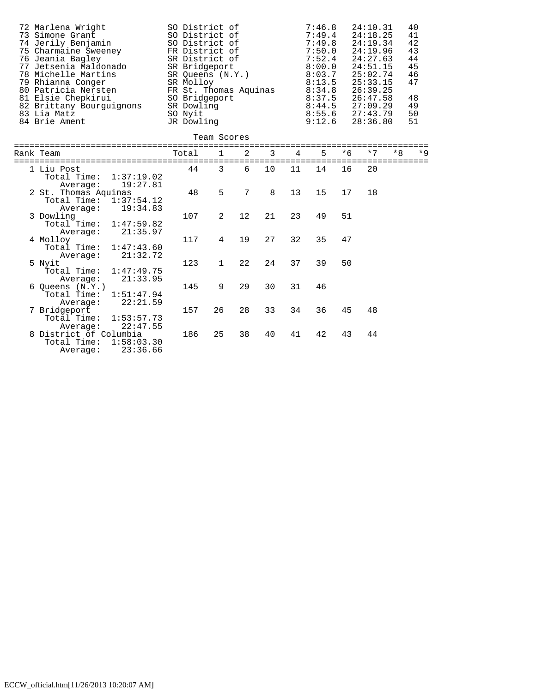| 72 Marlena Wright<br>73 Simone Grant<br>74 Jerily Benjamin<br>75 Charmaine Sweeney<br>76 Jeania Bagley<br>77 Jetsenia Maldonado<br>78 Michelle Martins<br>79 Rhianna Conger<br>80 Patricia Nersten<br>81 Elsie Chepkirui<br>82 Brittany Bourguignons<br>83 Lia Matz<br>84 Brie Ament | SO District of<br>SO District of<br>SO District of<br>FR District of<br>SR District of<br>SR Bridgeport<br>SR Oueens (N.Y.)<br>SR Molloy<br>FR St. Thomas Aquinas<br>SO Bridgeport<br>SR Dowling<br>SO Nyit<br>JR Dowling |              |                |    |                | 24:10.31<br>40<br>7:46.8<br>7:49.4<br>24:18.25<br>41<br>42<br>7:49.8<br>24:19.34<br>43<br>7:50.0<br>24:19.96<br>44<br>7:52.4<br>24:27.63<br>45<br>8:00.0<br>24:51.15<br>46<br>8:03.7<br>25:02.74<br>47<br>8:13.5<br>25:33.15<br>8:34.8<br>26:39.25<br>8:37.5<br>48<br>26:47.58<br>8:44.5<br>49<br>27:09.29<br>50<br>8:55.6<br>27:43.79<br>9:12.6<br>28:36.80<br>51 |      |      |      |      |
|--------------------------------------------------------------------------------------------------------------------------------------------------------------------------------------------------------------------------------------------------------------------------------------|---------------------------------------------------------------------------------------------------------------------------------------------------------------------------------------------------------------------------|--------------|----------------|----|----------------|--------------------------------------------------------------------------------------------------------------------------------------------------------------------------------------------------------------------------------------------------------------------------------------------------------------------------------------------------------------------|------|------|------|------|
|                                                                                                                                                                                                                                                                                      |                                                                                                                                                                                                                           | Team Scores  |                |    |                |                                                                                                                                                                                                                                                                                                                                                                    |      |      |      |      |
| Rank Team                                                                                                                                                                                                                                                                            | Total                                                                                                                                                                                                                     | $\mathbf{1}$ | 2              | 3  | $\overline{4}$ | 5                                                                                                                                                                                                                                                                                                                                                                  | $*6$ | $*7$ | $*8$ | $*9$ |
| 1 Liu Post<br>Total Time: 1:37:19.02<br>19:27.81<br>Average:                                                                                                                                                                                                                         | 44                                                                                                                                                                                                                        | 3            | 6              | 10 | 11             | 14                                                                                                                                                                                                                                                                                                                                                                 | 16   | 20   |      |      |
| 2 St. Thomas Aquinas<br>Total Time: 1:37:54.12<br>19:34.83<br>Average:                                                                                                                                                                                                               | 48                                                                                                                                                                                                                        | 5            | $\overline{7}$ | 8  | 13             | 15                                                                                                                                                                                                                                                                                                                                                                 | 17   | 18   |      |      |
| 3 Dowling<br>1:47:59.82<br>Total Time:<br>21:35.97<br>Average:                                                                                                                                                                                                                       | 107                                                                                                                                                                                                                       | 2            | 12             | 21 | 23             | 49                                                                                                                                                                                                                                                                                                                                                                 | 51   |      |      |      |
| 4 Molloy<br>Total Time:<br>1:47:43.60<br>21:32.72<br>Average:                                                                                                                                                                                                                        | 117                                                                                                                                                                                                                       | 4            | 19             | 27 | 32             | 35                                                                                                                                                                                                                                                                                                                                                                 | 47   |      |      |      |
| 5 Nyit<br>Total Time:<br>1:47:49.75<br>21:33.95<br>Average:                                                                                                                                                                                                                          | 123                                                                                                                                                                                                                       | $\mathbf{1}$ | 22             | 24 | 37             | 39                                                                                                                                                                                                                                                                                                                                                                 | 50   |      |      |      |
| $6$ Queens $(N.Y.)$<br>Total Time:<br>1:51:47.94<br>22:21.59<br>Average:                                                                                                                                                                                                             | 145                                                                                                                                                                                                                       | 9            | 29             | 30 | 31             | 46                                                                                                                                                                                                                                                                                                                                                                 |      |      |      |      |
| 7 Bridgeport<br>Total Time:<br>1:53:57.73<br>22:47.55<br>Average:                                                                                                                                                                                                                    | 157                                                                                                                                                                                                                       | 26           | 28             | 33 | 34             | 36                                                                                                                                                                                                                                                                                                                                                                 | 45   | 48   |      |      |
| 8 District of Columbia<br>Total Time:<br>1:58:03.30<br>23:36.66<br>Average:                                                                                                                                                                                                          | 186                                                                                                                                                                                                                       | 25           | 38             | 40 | 41             | 42                                                                                                                                                                                                                                                                                                                                                                 | 43   | 44   |      |      |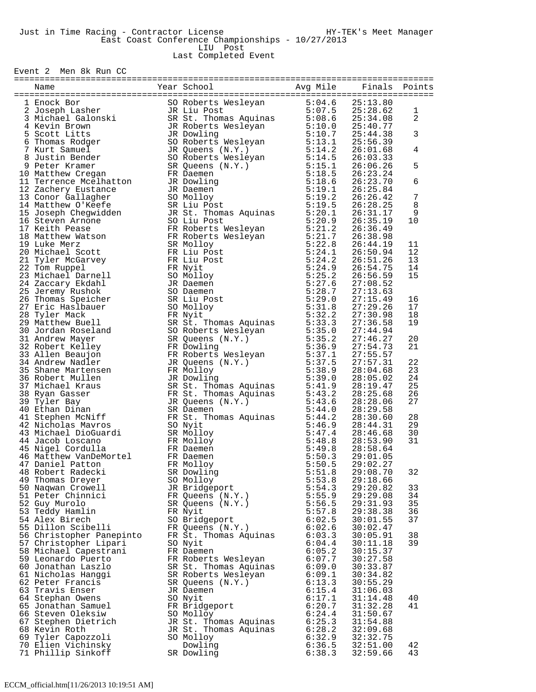Last Completed Event

Event 2 Men 8k Run CC

| $\begin{tabular}{cccccccc} \textbf{a} & \textbf{a} & \textbf{b} & \textbf{c} & \textbf{c} & \textbf{d} & \textbf{d} & \textbf{e} & \textbf{e} & \textbf{e} & \textbf{e} & \textbf{e} & \textbf{e} & \textbf{e} & \textbf{e} & \textbf{e} & \textbf{e} & \textbf{e} & \textbf{e} & \textbf{e} & \textbf{e} & \textbf{e} & \textbf{e} & \textbf{e} & \textbf{e} & \textbf{e} & \textbf{e} & \textbf{e} & \textbf{e} & \textbf{e} & \$ |                          |  |                       |        |               |    |  |  |  |
|-------------------------------------------------------------------------------------------------------------------------------------------------------------------------------------------------------------------------------------------------------------------------------------------------------------------------------------------------------------------------------------------------------------------------------------|--------------------------|--|-----------------------|--------|---------------|----|--|--|--|
|                                                                                                                                                                                                                                                                                                                                                                                                                                     |                          |  |                       |        | Finals Points |    |  |  |  |
|                                                                                                                                                                                                                                                                                                                                                                                                                                     |                          |  |                       |        |               |    |  |  |  |
|                                                                                                                                                                                                                                                                                                                                                                                                                                     |                          |  |                       |        |               |    |  |  |  |
|                                                                                                                                                                                                                                                                                                                                                                                                                                     |                          |  |                       |        |               | 1  |  |  |  |
|                                                                                                                                                                                                                                                                                                                                                                                                                                     |                          |  |                       |        |               | 2  |  |  |  |
|                                                                                                                                                                                                                                                                                                                                                                                                                                     |                          |  |                       |        |               |    |  |  |  |
|                                                                                                                                                                                                                                                                                                                                                                                                                                     |                          |  |                       |        |               | 3  |  |  |  |
|                                                                                                                                                                                                                                                                                                                                                                                                                                     |                          |  |                       |        |               |    |  |  |  |
|                                                                                                                                                                                                                                                                                                                                                                                                                                     |                          |  |                       |        |               | 4  |  |  |  |
|                                                                                                                                                                                                                                                                                                                                                                                                                                     |                          |  |                       |        |               |    |  |  |  |
|                                                                                                                                                                                                                                                                                                                                                                                                                                     |                          |  |                       |        |               |    |  |  |  |
|                                                                                                                                                                                                                                                                                                                                                                                                                                     |                          |  |                       |        |               | 5  |  |  |  |
|                                                                                                                                                                                                                                                                                                                                                                                                                                     |                          |  |                       |        |               |    |  |  |  |
|                                                                                                                                                                                                                                                                                                                                                                                                                                     |                          |  |                       |        |               | 6  |  |  |  |
|                                                                                                                                                                                                                                                                                                                                                                                                                                     |                          |  |                       |        |               |    |  |  |  |
|                                                                                                                                                                                                                                                                                                                                                                                                                                     |                          |  |                       |        |               | 7  |  |  |  |
|                                                                                                                                                                                                                                                                                                                                                                                                                                     |                          |  |                       |        |               | 8  |  |  |  |
|                                                                                                                                                                                                                                                                                                                                                                                                                                     |                          |  |                       |        |               | 9  |  |  |  |
|                                                                                                                                                                                                                                                                                                                                                                                                                                     |                          |  |                       |        |               | 10 |  |  |  |
|                                                                                                                                                                                                                                                                                                                                                                                                                                     |                          |  |                       |        |               |    |  |  |  |
|                                                                                                                                                                                                                                                                                                                                                                                                                                     |                          |  |                       |        |               |    |  |  |  |
|                                                                                                                                                                                                                                                                                                                                                                                                                                     |                          |  |                       |        |               | 11 |  |  |  |
|                                                                                                                                                                                                                                                                                                                                                                                                                                     |                          |  |                       |        |               | 12 |  |  |  |
|                                                                                                                                                                                                                                                                                                                                                                                                                                     |                          |  |                       |        |               | 13 |  |  |  |
|                                                                                                                                                                                                                                                                                                                                                                                                                                     |                          |  |                       |        |               |    |  |  |  |
|                                                                                                                                                                                                                                                                                                                                                                                                                                     |                          |  |                       |        |               | 14 |  |  |  |
|                                                                                                                                                                                                                                                                                                                                                                                                                                     |                          |  |                       |        |               | 15 |  |  |  |
|                                                                                                                                                                                                                                                                                                                                                                                                                                     |                          |  |                       |        |               |    |  |  |  |
|                                                                                                                                                                                                                                                                                                                                                                                                                                     |                          |  |                       |        |               |    |  |  |  |
|                                                                                                                                                                                                                                                                                                                                                                                                                                     |                          |  |                       |        |               | 16 |  |  |  |
|                                                                                                                                                                                                                                                                                                                                                                                                                                     |                          |  |                       |        |               | 17 |  |  |  |
|                                                                                                                                                                                                                                                                                                                                                                                                                                     |                          |  |                       |        |               | 18 |  |  |  |
|                                                                                                                                                                                                                                                                                                                                                                                                                                     |                          |  |                       |        |               | 19 |  |  |  |
|                                                                                                                                                                                                                                                                                                                                                                                                                                     |                          |  |                       |        |               |    |  |  |  |
|                                                                                                                                                                                                                                                                                                                                                                                                                                     |                          |  |                       |        |               | 20 |  |  |  |
|                                                                                                                                                                                                                                                                                                                                                                                                                                     |                          |  |                       |        |               | 21 |  |  |  |
|                                                                                                                                                                                                                                                                                                                                                                                                                                     |                          |  |                       |        |               |    |  |  |  |
|                                                                                                                                                                                                                                                                                                                                                                                                                                     |                          |  |                       |        |               |    |  |  |  |
|                                                                                                                                                                                                                                                                                                                                                                                                                                     |                          |  |                       |        |               | 22 |  |  |  |
|                                                                                                                                                                                                                                                                                                                                                                                                                                     |                          |  |                       |        |               | 23 |  |  |  |
|                                                                                                                                                                                                                                                                                                                                                                                                                                     |                          |  |                       |        |               | 24 |  |  |  |
|                                                                                                                                                                                                                                                                                                                                                                                                                                     |                          |  |                       |        |               | 25 |  |  |  |
|                                                                                                                                                                                                                                                                                                                                                                                                                                     |                          |  |                       |        |               | 26 |  |  |  |
|                                                                                                                                                                                                                                                                                                                                                                                                                                     |                          |  |                       |        |               | 27 |  |  |  |
|                                                                                                                                                                                                                                                                                                                                                                                                                                     |                          |  |                       |        |               |    |  |  |  |
|                                                                                                                                                                                                                                                                                                                                                                                                                                     |                          |  |                       |        |               | 28 |  |  |  |
|                                                                                                                                                                                                                                                                                                                                                                                                                                     |                          |  |                       |        |               | 29 |  |  |  |
|                                                                                                                                                                                                                                                                                                                                                                                                                                     |                          |  |                       |        |               | 30 |  |  |  |
|                                                                                                                                                                                                                                                                                                                                                                                                                                     |                          |  |                       |        |               | 31 |  |  |  |
|                                                                                                                                                                                                                                                                                                                                                                                                                                     |                          |  |                       |        |               |    |  |  |  |
|                                                                                                                                                                                                                                                                                                                                                                                                                                     |                          |  |                       |        |               |    |  |  |  |
|                                                                                                                                                                                                                                                                                                                                                                                                                                     |                          |  |                       |        |               |    |  |  |  |
|                                                                                                                                                                                                                                                                                                                                                                                                                                     |                          |  |                       |        |               |    |  |  |  |
|                                                                                                                                                                                                                                                                                                                                                                                                                                     | 48 Robert Radecki        |  | SR Dowling            | 5:51.8 | 29:08.70      | 32 |  |  |  |
|                                                                                                                                                                                                                                                                                                                                                                                                                                     | 49 Thomas Dreyer         |  | SO Molloy             | 5:53.8 | 29:18.66      |    |  |  |  |
|                                                                                                                                                                                                                                                                                                                                                                                                                                     | 50 Naqwan Crowell        |  | JR Bridgeport         | 5:54.3 | 29:20.82      | 33 |  |  |  |
|                                                                                                                                                                                                                                                                                                                                                                                                                                     | 51 Peter Chinnici        |  | FR Queens (N.Y.)      | 5:55.9 | 29:29.08      | 34 |  |  |  |
|                                                                                                                                                                                                                                                                                                                                                                                                                                     | 52 Guy Murolo            |  | SR Queens (N.Y.)      | 5:56.5 | 29:31.93      | 35 |  |  |  |
|                                                                                                                                                                                                                                                                                                                                                                                                                                     | 53 Teddy Hamlin          |  | FR Nyit               | 5:57.8 | 29:38.38      | 36 |  |  |  |
|                                                                                                                                                                                                                                                                                                                                                                                                                                     | 54 Alex Birech           |  | SO Bridgeport         | 6:02.5 | 30:01.55      | 37 |  |  |  |
|                                                                                                                                                                                                                                                                                                                                                                                                                                     | 55 Dillon Scibelli       |  | FR Queens (N.Y.)      | 6:02.6 | 30:02.47      |    |  |  |  |
|                                                                                                                                                                                                                                                                                                                                                                                                                                     | 56 Christopher Panepinto |  | FR St. Thomas Aquinas | 6:03.3 | 30:05.91      | 38 |  |  |  |
|                                                                                                                                                                                                                                                                                                                                                                                                                                     |                          |  |                       | 6:04.4 |               |    |  |  |  |
|                                                                                                                                                                                                                                                                                                                                                                                                                                     | 57 Christopher Lipari    |  | SO Nyit               |        | 30:11.18      | 39 |  |  |  |
|                                                                                                                                                                                                                                                                                                                                                                                                                                     | 58 Michael Capestrani    |  | FR Daemen             | 6:05.2 | 30:15.37      |    |  |  |  |
|                                                                                                                                                                                                                                                                                                                                                                                                                                     | 59 Leonardo Puerto       |  | FR Roberts Wesleyan   | 6:07.7 | 30:27.58      |    |  |  |  |
|                                                                                                                                                                                                                                                                                                                                                                                                                                     | 60 Jonathan Laszlo       |  | SR St. Thomas Aquinas | 6:09.0 | 30:33.87      |    |  |  |  |
|                                                                                                                                                                                                                                                                                                                                                                                                                                     | 61 Nicholas Hanggi       |  | SR Roberts Wesleyan   | 6:09.1 | 30:34.82      |    |  |  |  |
|                                                                                                                                                                                                                                                                                                                                                                                                                                     | 62 Peter Francis         |  | SR Queens (N.Y.)      | 6:13.3 | 30:55.29      |    |  |  |  |
|                                                                                                                                                                                                                                                                                                                                                                                                                                     | 63 Travis Enser          |  | JR Daemen             | 6:15.4 | 31:06.03      |    |  |  |  |
|                                                                                                                                                                                                                                                                                                                                                                                                                                     | 64 Stephan Owens         |  | SO Nyit               | 6:17.1 | 31:14.48      | 40 |  |  |  |
|                                                                                                                                                                                                                                                                                                                                                                                                                                     | 65 Jonathan Samuel       |  | FR Bridgeport         | 6:20.7 | 31:32.28      | 41 |  |  |  |
|                                                                                                                                                                                                                                                                                                                                                                                                                                     | 66 Steven Oleksiw        |  | SO Molloy             | 6:24.4 | 31:50.67      |    |  |  |  |
|                                                                                                                                                                                                                                                                                                                                                                                                                                     | 67 Stephen Dietrich      |  | JR St. Thomas Aquinas | 6:25.3 | 31:54.88      |    |  |  |  |
|                                                                                                                                                                                                                                                                                                                                                                                                                                     |                          |  |                       |        |               |    |  |  |  |
|                                                                                                                                                                                                                                                                                                                                                                                                                                     | 68 Kevin Roth            |  | JR St. Thomas Aquinas | 6:28.2 | 32:09.68      |    |  |  |  |
|                                                                                                                                                                                                                                                                                                                                                                                                                                     | 69 Tyler Capozzoli       |  | SO Molloy             | 6:32.9 | 32:32.75      |    |  |  |  |
|                                                                                                                                                                                                                                                                                                                                                                                                                                     | 70 Elien Vichinsky       |  | Dowling               | 6:36.5 | 32:51.00      | 42 |  |  |  |
|                                                                                                                                                                                                                                                                                                                                                                                                                                     | 71 Phillip Sinkoff       |  | SR Dowling            | 6:38.3 | 32:59.66      | 43 |  |  |  |